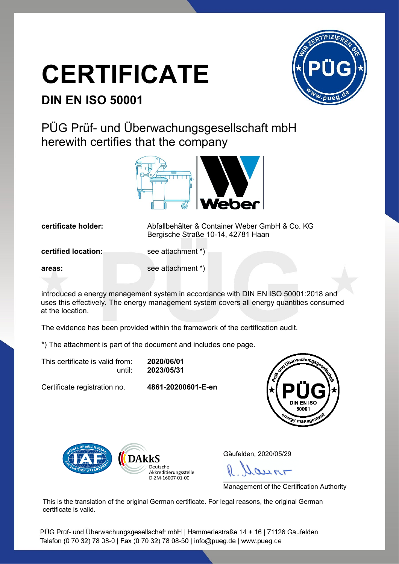## **CERTIFICATE**



## **DIN EN ISO 50001**

PÜG Prüf- und Überwachungsgesellschaft mbH herewith certifies that the company



**certificate holder:** Abfallbehälter & Container Weber GmbH & Co. KG Bergische Straße 10-14, 42781 Haan

**certified location:** see attachment \*)

**areas:** see attachment \*)

introduced a energy management system in accordance with DIN EN ISO 50001:2018 and uses this effectively. The energy management system covers all energy quantities consumed at the location.

The evidence has been provided within the framework of the certification audit.

\*) The attachment is part of the document and includes one page.

This certificate is valid from: **2020/06/01** until: **2023/05/31**

Certificate registration no. **4861-20200601-E-en**





Gäufelden, 2020/05/29

 $H_{\pi}$ 

Management of the Certification Authority

This is the translation of the original German certificate. For legal reasons, the original German certificate is valid.

PÜG Prüf- und Überwachungsgesellschaft mbH | Hämmerlestraße 14 + 16 | 71126 Gäufelden Telefon (0 70 32) 78 08-0 | Fax (0 70 32) 78 08-50 | info@pueg.de | www.pueg.de